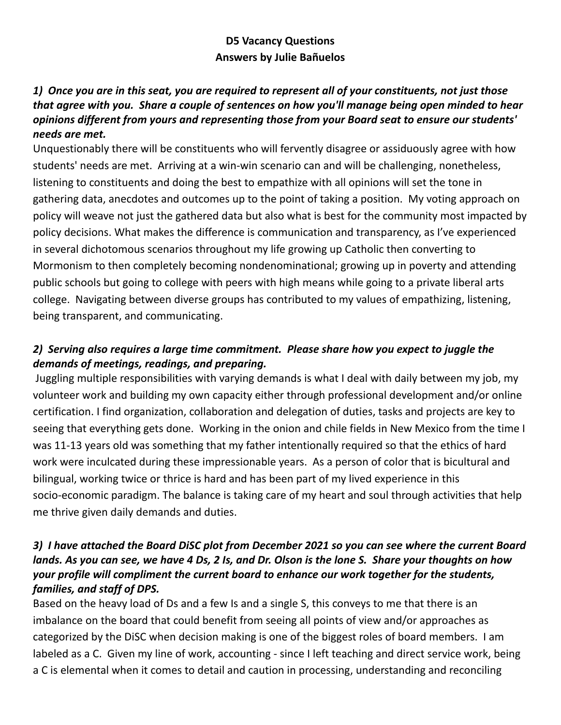# **D5 Vacancy Questions Answers by Julie Bañuelos**

## 1) Once you are in this seat, you are required to represent all of your constituents, not just those *that agree with you. Share a couple of sentences on how you'll manage being open minded to hear opinions different from yours and representing those from your Board seat to ensure our students' needs are met.*

Unquestionably there will be constituents who will fervently disagree or assiduously agree with how students' needs are met. Arriving at a win-win scenario can and will be challenging, nonetheless, listening to constituents and doing the best to empathize with all opinions will set the tone in gathering data, anecdotes and outcomes up to the point of taking a position. My voting approach on policy will weave not just the gathered data but also what is best for the community most impacted by policy decisions. What makes the difference is communication and transparency, as I've experienced in several dichotomous scenarios throughout my life growing up Catholic then converting to Mormonism to then completely becoming nondenominational; growing up in poverty and attending public schools but going to college with peers with high means while going to a private liberal arts college. Navigating between diverse groups has contributed to my values of empathizing, listening, being transparent, and communicating.

# *2) Serving also requires a large time commitment. Please share how you expect to juggle the demands of meetings, readings, and preparing.*

Juggling multiple responsibilities with varying demands is what I deal with daily between my job, my volunteer work and building my own capacity either through professional development and/or online certification. I find organization, collaboration and delegation of duties, tasks and projects are key to seeing that everything gets done. Working in the onion and chile fields in New Mexico from the time I was 11-13 years old was something that my father intentionally required so that the ethics of hard work were inculcated during these impressionable years. As a person of color that is bicultural and bilingual, working twice or thrice is hard and has been part of my lived experience in this socio-economic paradigm. The balance is taking care of my heart and soul through activities that help me thrive given daily demands and duties.

### 3) I have attached the Board DiSC plot from December 2021 so you can see where the current Board lands. As you can see, we have 4 Ds, 2 Is, and Dr. Olson is the lone S. Share your thoughts on how *your profile will compliment the current board to enhance our work together for the students, families, and staff of DPS.*

Based on the heavy load of Ds and a few Is and a single S, this conveys to me that there is an imbalance on the board that could benefit from seeing all points of view and/or approaches as categorized by the DiSC when decision making is one of the biggest roles of board members. I am labeled as a C. Given my line of work, accounting - since I left teaching and direct service work, being a C is elemental when it comes to detail and caution in processing, understanding and reconciling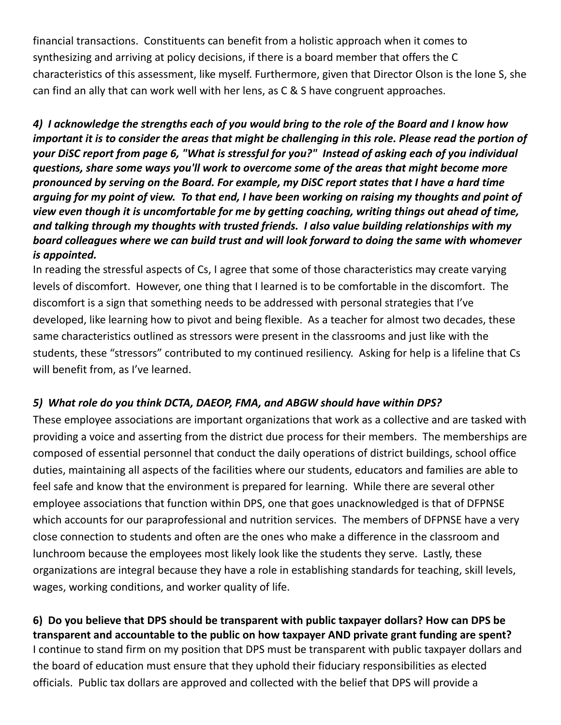financial transactions. Constituents can benefit from a holistic approach when it comes to synthesizing and arriving at policy decisions, if there is a board member that offers the C characteristics of this assessment, like myself. Furthermore, given that Director Olson is the lone S, she can find an ally that can work well with her lens, as C & S have congruent approaches.

4) I acknowledge the strengths each of you would bring to the role of the Board and I know how important it is to consider the areas that might be challenging in this role. Please read the portion of your DiSC report from page 6, "What is stressful for you?" Instead of asking each of you individual *questions, share some ways you'll work to overcome some of the areas that might become more pronounced by serving on the Board. For example, my DiSC report states that I have a hard time* arguing for my point of view. To that end, I have been working on raising my thoughts and point of *view even though it is uncomfortable for me by getting coaching, writing things out ahead of time, and talking through my thoughts with trusted friends. I also value building relationships with my board colleagues where we can build trust and will look forward to doing the same with whomever is appointed.*

In reading the stressful aspects of Cs, I agree that some of those characteristics may create varying levels of discomfort. However, one thing that I learned is to be comfortable in the discomfort. The discomfort is a sign that something needs to be addressed with personal strategies that I've developed, like learning how to pivot and being flexible. As a teacher for almost two decades, these same characteristics outlined as stressors were present in the classrooms and just like with the students, these "stressors" contributed to my continued resiliency. Asking for help is a lifeline that Cs will benefit from, as I've learned.

### *5) What role do you think DCTA, DAEOP, FMA, and ABGW should have within DPS?*

These employee associations are important organizations that work as a collective and are tasked with providing a voice and asserting from the district due process for their members. The memberships are composed of essential personnel that conduct the daily operations of district buildings, school office duties, maintaining all aspects of the facilities where our students, educators and families are able to feel safe and know that the environment is prepared for learning. While there are several other employee associations that function within DPS, one that goes unacknowledged is that of DFPNSE which accounts for our paraprofessional and nutrition services. The members of DFPNSE have a very close connection to students and often are the ones who make a difference in the classroom and lunchroom because the employees most likely look like the students they serve. Lastly, these organizations are integral because they have a role in establishing standards for teaching, skill levels, wages, working conditions, and worker quality of life.

**6) Do you believe that DPS should be transparent with public taxpayer dollars? How can DPS be transparent and accountable to the public on how taxpayer AND private grant funding are spent?** I continue to stand firm on my position that DPS must be transparent with public taxpayer dollars and the board of education must ensure that they uphold their fiduciary responsibilities as elected officials. Public tax dollars are approved and collected with the belief that DPS will provide a